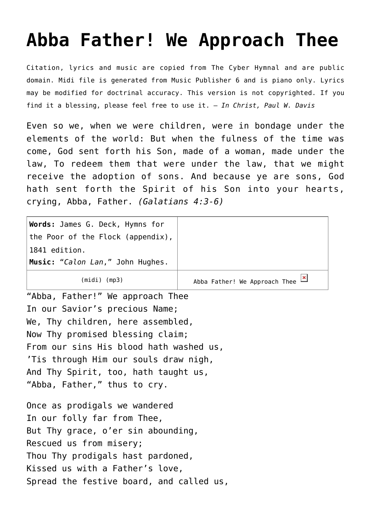## **[Abba Father! We Approach Thee](http://reproachofmen.org/hymns-and-music/abba-father-we-approach-thee/)**

Citation, lyrics and music are copied from [The Cyber Hymnal](http://www.hymntime.com/tch/) and are public domain. Midi file is generated from Music Publisher 6 and is piano only. Lyrics may be modified for doctrinal accuracy. This version is not copyrighted. If you find it a blessing, please feel free to use it. — *In Christ, Paul W. Davis*

Even so we, when we were children, were in bondage under the elements of the world: But when the fulness of the time was come, God sent forth his Son, made of a woman, made under the law, To redeem them that were under the law, that we might receive the adoption of sons. And because ye are sons, God hath sent forth the Spirit of his Son into your hearts, crying, Abba, Father. *(Galatians 4:3-6)*

| Words: James G. Deck, Hymns for<br>the Poor of the Flock (appendix), |                                                               |
|----------------------------------------------------------------------|---------------------------------------------------------------|
| 1841 edition.                                                        |                                                               |
| Music: "Calon Lan," John Hughes.                                     |                                                               |
| $(midi)$ (mp3)                                                       | Abba Father! We Approach Thee $\frac{\mathbf{x}}{\mathbf{x}}$ |
| "Abba, Father!" We approach Thee                                     |                                                               |
| In our Savior's precious Name;                                       |                                                               |
| We, Thy children, here assembled,                                    |                                                               |
| Now Thy promised blessing claim;                                     |                                                               |
| From our sins His blood hath washed us,                              |                                                               |
| 'Tis through Him our souls draw nigh,                                |                                                               |
| And Thy Spirit, too, hath taught us,                                 |                                                               |
| "Abba, Father," thus to cry.                                         |                                                               |
|                                                                      |                                                               |
| Once as prodigals we wandered                                        |                                                               |
| In our folly far from Thee,                                          |                                                               |
| But Thy grace, o'er sin abounding,                                   |                                                               |
| Rescued us from misery;                                              |                                                               |
| Thou Thy prodigals hast pardoned,                                    |                                                               |
| Kissed us with a Father's love,                                      |                                                               |
| Spread the festive board, and called us,                             |                                                               |